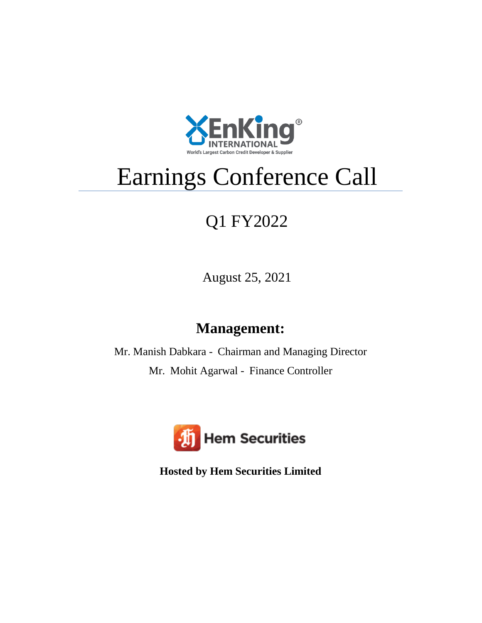

## Earnings Conference Call

## Q1 FY2022

August 25, 2021

## **Management:**

Mr. Manish Dabkara - Chairman and Managing Director Mr. Mohit Agarwal - Finance Controller



**Hosted by Hem Securities Limited**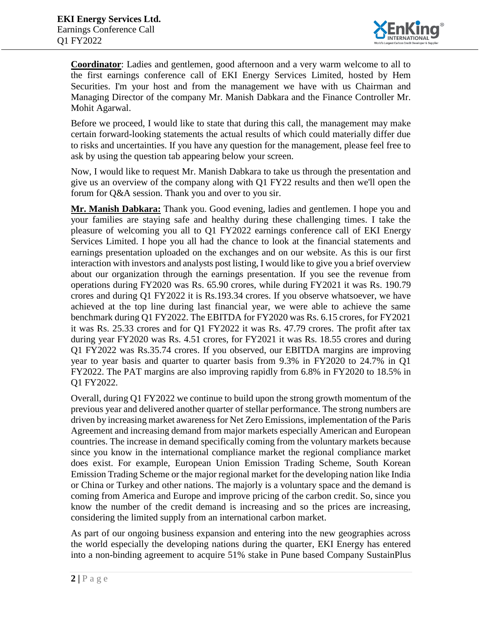

**Coordinator**: Ladies and gentlemen, good afternoon and a very warm welcome to all to the first earnings conference call of EKI Energy Services Limited, hosted by Hem Securities. I'm your host and from the management we have with us Chairman and Managing Director of the company Mr. Manish Dabkara and the Finance Controller Mr. Mohit Agarwal.

Before we proceed, I would like to state that during this call, the management may make certain forward-looking statements the actual results of which could materially differ due to risks and uncertainties. If you have any question for the management, please feel free to ask by using the question tab appearing below your screen.

Now, I would like to request Mr. Manish Dabkara to take us through the presentation and give us an overview of the company along with Q1 FY22 results and then we'll open the forum for Q&A session. Thank you and over to you sir.

**Mr. Manish Dabkara:** Thank you. Good evening, ladies and gentlemen. I hope you and your families are staying safe and healthy during these challenging times. I take the pleasure of welcoming you all to Q1 FY2022 earnings conference call of EKI Energy Services Limited. I hope you all had the chance to look at the financial statements and earnings presentation uploaded on the exchanges and on our website. As this is our first interaction with investors and analysts post listing, I would like to give you a brief overview about our organization through the earnings presentation. If you see the revenue from operations during FY2020 was Rs. 65.90 crores, while during FY2021 it was Rs. 190.79 crores and during Q1 FY2022 it is Rs.193.34 crores. If you observe whatsoever, we have achieved at the top line during last financial year, we were able to achieve the same benchmark during Q1 FY2022. The EBITDA for FY2020 was Rs. 6.15 crores, for FY2021 it was Rs. 25.33 crores and for Q1 FY2022 it was Rs. 47.79 crores. The profit after tax during year FY2020 was Rs. 4.51 crores, for FY2021 it was Rs. 18.55 crores and during Q1 FY2022 was Rs.35.74 crores. If you observed, our EBITDA margins are improving year to year basis and quarter to quarter basis from 9.3% in FY2020 to 24.7% in Q1 FY2022. The PAT margins are also improving rapidly from 6.8% in FY2020 to 18.5% in Q1 FY2022.

Overall, during Q1 FY2022 we continue to build upon the strong growth momentum of the previous year and delivered another quarter of stellar performance. The strong numbers are driven by increasing market awareness for Net Zero Emissions, implementation of the Paris Agreement and increasing demand from major markets especially American and European countries. The increase in demand specifically coming from the voluntary markets because since you know in the international compliance market the regional compliance market does exist. For example, European Union Emission Trading Scheme, South Korean Emission Trading Scheme or the major regional market for the developing nation like India or China or Turkey and other nations. The majorly is a voluntary space and the demand is coming from America and Europe and improve pricing of the carbon credit. So, since you know the number of the credit demand is increasing and so the prices are increasing, considering the limited supply from an international carbon market.

As part of our ongoing business expansion and entering into the new geographies across the world especially the developing nations during the quarter, EKI Energy has entered into a non-binding agreement to acquire 51% stake in Pune based Company SustainPlus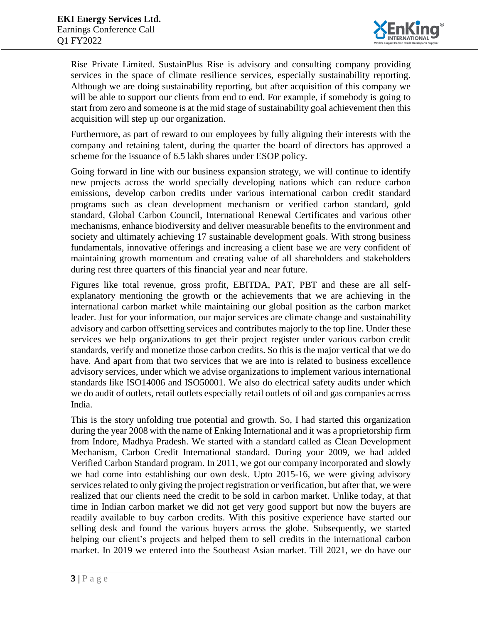

Rise Private Limited. SustainPlus Rise is advisory and consulting company providing services in the space of climate resilience services, especially sustainability reporting. Although we are doing sustainability reporting, but after acquisition of this company we will be able to support our clients from end to end. For example, if somebody is going to start from zero and someone is at the mid stage of sustainability goal achievement then this acquisition will step up our organization.

Furthermore, as part of reward to our employees by fully aligning their interests with the company and retaining talent, during the quarter the board of directors has approved a scheme for the issuance of 6.5 lakh shares under ESOP policy.

Going forward in line with our business expansion strategy, we will continue to identify new projects across the world specially developing nations which can reduce carbon emissions, develop carbon credits under various international carbon credit standard programs such as clean development mechanism or verified carbon standard, gold standard, Global Carbon Council, International Renewal Certificates and various other mechanisms, enhance biodiversity and deliver measurable benefits to the environment and society and ultimately achieving 17 sustainable development goals. With strong business fundamentals, innovative offerings and increasing a client base we are very confident of maintaining growth momentum and creating value of all shareholders and stakeholders during rest three quarters of this financial year and near future.

Figures like total revenue, gross profit, EBITDA, PAT, PBT and these are all selfexplanatory mentioning the growth or the achievements that we are achieving in the international carbon market while maintaining our global position as the carbon market leader. Just for your information, our major services are climate change and sustainability advisory and carbon offsetting services and contributes majorly to the top line. Under these services we help organizations to get their project register under various carbon credit standards, verify and monetize those carbon credits. So this is the major vertical that we do have. And apart from that two services that we are into is related to business excellence advisory services, under which we advise organizations to implement various international standards like ISO14006 and ISO50001. We also do electrical safety audits under which we do audit of outlets, retail outlets especially retail outlets of oil and gas companies across India.

This is the story unfolding true potential and growth. So, I had started this organization during the year 2008 with the name of Enking International and it was a proprietorship firm from Indore, Madhya Pradesh. We started with a standard called as Clean Development Mechanism, Carbon Credit International standard. During your 2009, we had added Verified Carbon Standard program. In 2011, we got our company incorporated and slowly we had come into establishing our own desk. Upto 2015-16, we were giving advisory services related to only giving the project registration or verification, but after that, we were realized that our clients need the credit to be sold in carbon market. Unlike today, at that time in Indian carbon market we did not get very good support but now the buyers are readily available to buy carbon credits. With this positive experience have started our selling desk and found the various buyers across the globe. Subsequently, we started helping our client's projects and helped them to sell credits in the international carbon market. In 2019 we entered into the Southeast Asian market. Till 2021, we do have our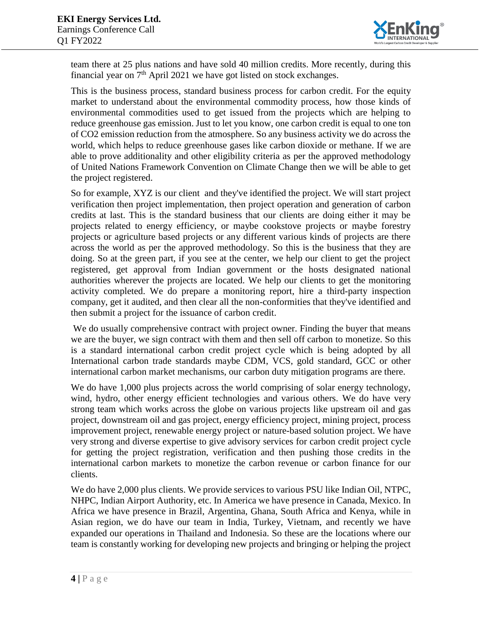

team there at 25 plus nations and have sold 40 million credits. More recently, during this financial year on  $7<sup>th</sup>$  April 2021 we have got listed on stock exchanges.

This is the business process, standard business process for carbon credit. For the equity market to understand about the environmental commodity process, how those kinds of environmental commodities used to get issued from the projects which are helping to reduce greenhouse gas emission. Just to let you know, one carbon credit is equal to one ton of CO2 emission reduction from the atmosphere. So any business activity we do across the world, which helps to reduce greenhouse gases like carbon dioxide or methane. If we are able to prove additionality and other eligibility criteria as per the approved methodology of United Nations Framework Convention on Climate Change then we will be able to get the project registered.

So for example, XYZ is our client and they've identified the project. We will start project verification then project implementation, then project operation and generation of carbon credits at last. This is the standard business that our clients are doing either it may be projects related to energy efficiency, or maybe cookstove projects or maybe forestry projects or agriculture based projects or any different various kinds of projects are there across the world as per the approved methodology. So this is the business that they are doing. So at the green part, if you see at the center, we help our client to get the project registered, get approval from Indian government or the hosts designated national authorities wherever the projects are located. We help our clients to get the monitoring activity completed. We do prepare a monitoring report, hire a third-party inspection company, get it audited, and then clear all the non-conformities that they've identified and then submit a project for the issuance of carbon credit.

We do usually comprehensive contract with project owner. Finding the buyer that means we are the buyer, we sign contract with them and then sell off carbon to monetize. So this is a standard international carbon credit project cycle which is being adopted by all International carbon trade standards maybe CDM, VCS, gold standard, GCC or other international carbon market mechanisms, our carbon duty mitigation programs are there.

We do have 1,000 plus projects across the world comprising of solar energy technology, wind, hydro, other energy efficient technologies and various others. We do have very strong team which works across the globe on various projects like upstream oil and gas project, downstream oil and gas project, energy efficiency project, mining project, process improvement project, renewable energy project or nature-based solution project. We have very strong and diverse expertise to give advisory services for carbon credit project cycle for getting the project registration, verification and then pushing those credits in the international carbon markets to monetize the carbon revenue or carbon finance for our clients.

We do have 2,000 plus clients. We provide services to various PSU like Indian Oil, NTPC, NHPC, Indian Airport Authority, etc. In America we have presence in Canada, Mexico. In Africa we have presence in Brazil, Argentina, Ghana, South Africa and Kenya, while in Asian region, we do have our team in India, Turkey, Vietnam, and recently we have expanded our operations in Thailand and Indonesia. So these are the locations where our team is constantly working for developing new projects and bringing or helping the project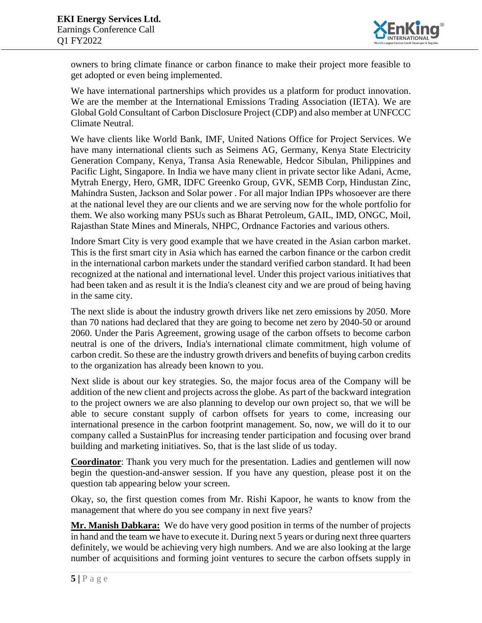

owners to bring climate finance or carbon finance to make their project more feasible to get adopted or even being implemented.

We have international partnerships which provides us a platform for product innovation. We are the member at the International Emissions Trading Association (IETA). We are Global Gold Consultant of Carbon Disclosure Project (CDP) and also member at UNFCCC Climate Neutral.

We have clients like World Bank, IMF, United Nations Office for Project Services. We have many international clients such as Seimens AG, Germany, Kenya State Electricity Generation Company, Kenya, Transa Asia Renewable, Hedcor Sibulan, Philippines and Pacific Light, Singapore. In India we have many client in private sector like Adani, Acme, Mytrah Energy, Hero, GMR, IDFC Greenko Group, GVK, SEMB Corp, Hindustan Zinc, Mahindra Susten, Jackson and Solar power . For all major Indian IPPs whosoever are there at the national level they are our clients and we are serving now for the whole portfolio for them. We also working many PSUs such as Bharat Petroleum, GAIL, IMD, ONGC, Moil, Rajasthan State Mines and Minerals, NHPC, Ordnance Factories and various others.

Indore Smart City is very good example that we have created in the Asian carbon market. This is the first smart city in Asia which has earned the carbon finance or the carbon credit in the international carbon markets under the standard verified carbon standard. It had been recognized at the national and international level. Under this project various initiatives that had been taken and as result it is the India's cleanest city and we are proud of being having in the same city.

The next slide is about the industry growth drivers like net zero emissions by 2050. More than 70 nations had declared that they are going to become net zero by 2040-50 or around 2060. Under the Paris Agreement, growing usage of the carbon offsets to become carbon neutral is one of the drivers, India's international climate commitment, high volume of carbon credit. So these are the industry growth drivers and benefits of buying carbon credits to the organization has already been known to you.

Next slide is about our key strategies. So, the major focus area of the Company will be addition of the new client and projects across the globe. As part of the backward integration to the project owners we are also planning to develop our own project so, that we will be able to secure constant supply of carbon offsets for years to come, increasing our international presence in the carbon footprint management. So, now, we will do it to our company called a SustainPlus for increasing tender participation and focusing over brand building and marketing initiatives. So, that is the last slide of us today.

**Coordinator**: Thank you very much for the presentation. Ladies and gentlemen will now begin the question-and-answer session. If you have any question, please post it on the question tab appearing below your screen.

Okay, so, the first question comes from Mr. Rishi Kapoor, he wants to know from the management that where do you see company in next five years?

**Mr. Manish Dabkara:** We do have very good position in terms of the number of projects in hand and the team we have to execute it. During next 5 years or during next three quarters definitely, we would be achieving very high numbers. And we are also looking at the large number of acquisitions and forming joint ventures to secure the carbon offsets supply in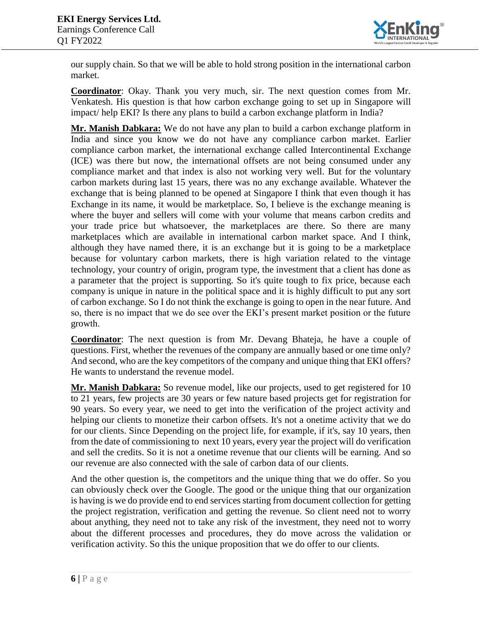

our supply chain. So that we will be able to hold strong position in the international carbon market.

**Coordinator**: Okay. Thank you very much, sir. The next question comes from Mr. Venkatesh. His question is that how carbon exchange going to set up in Singapore will impact/ help EKI? Is there any plans to build a carbon exchange platform in India?

**Mr. Manish Dabkara:** We do not have any plan to build a carbon exchange platform in India and since you know we do not have any compliance carbon market. Earlier compliance carbon market, the international exchange called Intercontinental Exchange (ICE) was there but now, the international offsets are not being consumed under any compliance market and that index is also not working very well. But for the voluntary carbon markets during last 15 years, there was no any exchange available. Whatever the exchange that is being planned to be opened at Singapore I think that even though it has Exchange in its name, it would be marketplace. So, I believe is the exchange meaning is where the buyer and sellers will come with your volume that means carbon credits and your trade price but whatsoever, the marketplaces are there. So there are many marketplaces which are available in international carbon market space. And I think, although they have named there, it is an exchange but it is going to be a marketplace because for voluntary carbon markets, there is high variation related to the vintage technology, your country of origin, program type, the investment that a client has done as a parameter that the project is supporting. So it's quite tough to fix price, because each company is unique in nature in the political space and it is highly difficult to put any sort of carbon exchange. So I do not think the exchange is going to open in the near future. And so, there is no impact that we do see over the EKI's present market position or the future growth.

**Coordinator**: The next question is from Mr. Devang Bhateja, he have a couple of questions. First, whether the revenues of the company are annually based or one time only? And second, who are the key competitors of the company and unique thing that EKI offers? He wants to understand the revenue model.

**Mr. Manish Dabkara:** So revenue model, like our projects, used to get registered for 10 to 21 years, few projects are 30 years or few nature based projects get for registration for 90 years. So every year, we need to get into the verification of the project activity and helping our clients to monetize their carbon offsets. It's not a onetime activity that we do for our clients. Since Depending on the project life, for example, if it's, say 10 years, then from the date of commissioning to next 10 years, every year the project will do verification and sell the credits. So it is not a onetime revenue that our clients will be earning. And so our revenue are also connected with the sale of carbon data of our clients.

And the other question is, the competitors and the unique thing that we do offer. So you can obviously check over the Google. The good or the unique thing that our organization is having is we do provide end to end services starting from document collection for getting the project registration, verification and getting the revenue. So client need not to worry about anything, they need not to take any risk of the investment, they need not to worry about the different processes and procedures, they do move across the validation or verification activity. So this the unique proposition that we do offer to our clients.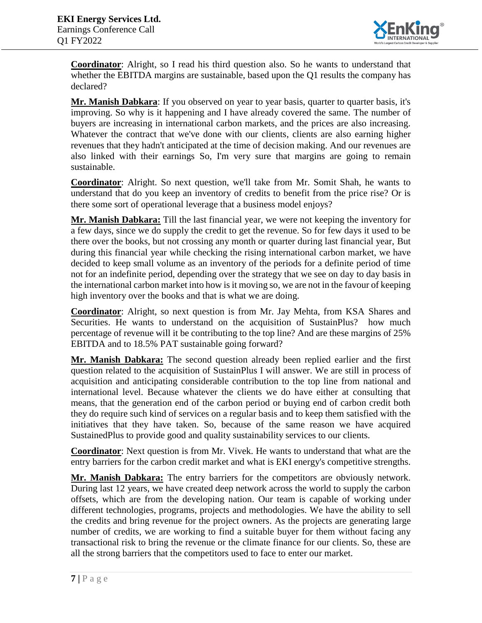

**Coordinator**: Alright, so I read his third question also. So he wants to understand that whether the EBITDA margins are sustainable, based upon the Q1 results the company has declared?

**Mr. Manish Dabkara**: If you observed on year to year basis, quarter to quarter basis, it's improving. So why is it happening and I have already covered the same. The number of buyers are increasing in international carbon markets, and the prices are also increasing. Whatever the contract that we've done with our clients, clients are also earning higher revenues that they hadn't anticipated at the time of decision making. And our revenues are also linked with their earnings So, I'm very sure that margins are going to remain sustainable.

**Coordinator**: Alright. So next question, we'll take from Mr. Somit Shah, he wants to understand that do you keep an inventory of credits to benefit from the price rise? Or is there some sort of operational leverage that a business model enjoys?

**Mr. Manish Dabkara:** Till the last financial year, we were not keeping the inventory for a few days, since we do supply the credit to get the revenue. So for few days it used to be there over the books, but not crossing any month or quarter during last financial year, But during this financial year while checking the rising international carbon market, we have decided to keep small volume as an inventory of the periods for a definite period of time not for an indefinite period, depending over the strategy that we see on day to day basis in the international carbon market into how is it moving so, we are not in the favour of keeping high inventory over the books and that is what we are doing.

**Coordinator**: Alright, so next question is from Mr. Jay Mehta, from KSA Shares and Securities. He wants to understand on the acquisition of SustainPlus? how much percentage of revenue will it be contributing to the top line? And are these margins of 25% EBITDA and to 18.5% PAT sustainable going forward?

**Mr. Manish Dabkara:** The second question already been replied earlier and the first question related to the acquisition of SustainPlus I will answer. We are still in process of acquisition and anticipating considerable contribution to the top line from national and international level. Because whatever the clients we do have either at consulting that means, that the generation end of the carbon period or buying end of carbon credit both they do require such kind of services on a regular basis and to keep them satisfied with the initiatives that they have taken. So, because of the same reason we have acquired SustainedPlus to provide good and quality sustainability services to our clients.

**Coordinator**: Next question is from Mr. Vivek. He wants to understand that what are the entry barriers for the carbon credit market and what is EKI energy's competitive strengths.

**Mr. Manish Dabkara:** The entry barriers for the competitors are obviously network. During last 12 years, we have created deep network across the world to supply the carbon offsets, which are from the developing nation. Our team is capable of working under different technologies, programs, projects and methodologies. We have the ability to sell the credits and bring revenue for the project owners. As the projects are generating large number of credits, we are working to find a suitable buyer for them without facing any transactional risk to bring the revenue or the climate finance for our clients. So, these are all the strong barriers that the competitors used to face to enter our market.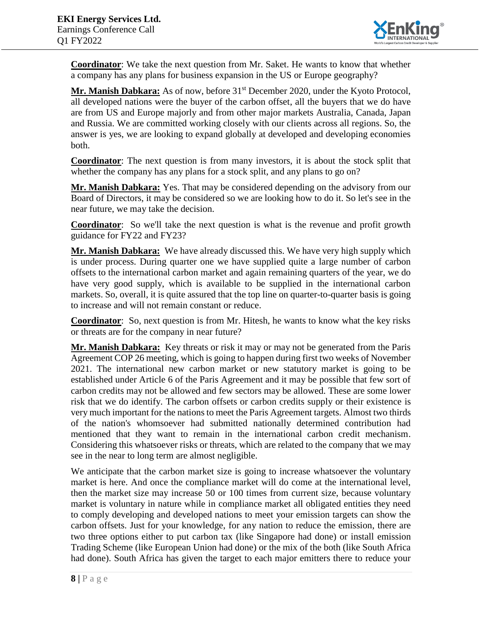

**Coordinator**: We take the next question from Mr. Saket. He wants to know that whether a company has any plans for business expansion in the US or Europe geography?

Mr. Manish Dabkara: As of now, before 31<sup>st</sup> December 2020, under the Kyoto Protocol, all developed nations were the buyer of the carbon offset, all the buyers that we do have are from US and Europe majorly and from other major markets Australia, Canada, Japan and Russia. We are committed working closely with our clients across all regions. So, the answer is yes, we are looking to expand globally at developed and developing economies both.

**Coordinator**: The next question is from many investors, it is about the stock split that whether the company has any plans for a stock split, and any plans to go on?

**Mr. Manish Dabkara:** Yes. That may be considered depending on the advisory from our Board of Directors, it may be considered so we are looking how to do it. So let's see in the near future, we may take the decision.

**Coordinator**: So we'll take the next question is what is the revenue and profit growth guidance for FY22 and FY23?

**Mr. Manish Dabkara:** We have already discussed this. We have very high supply which is under process. During quarter one we have supplied quite a large number of carbon offsets to the international carbon market and again remaining quarters of the year, we do have very good supply, which is available to be supplied in the international carbon markets. So, overall, it is quite assured that the top line on quarter-to-quarter basis is going to increase and will not remain constant or reduce.

**Coordinator**: So, next question is from Mr. Hitesh, he wants to know what the key risks or threats are for the company in near future?

**Mr. Manish Dabkara:** Key threats or risk it may or may not be generated from the Paris Agreement COP 26 meeting, which is going to happen during first two weeks of November 2021. The international new carbon market or new statutory market is going to be established under Article 6 of the Paris Agreement and it may be possible that few sort of carbon credits may not be allowed and few sectors may be allowed. These are some lower risk that we do identify. The carbon offsets or carbon credits supply or their existence is very much important for the nations to meet the Paris Agreement targets. Almost two thirds of the nation's whomsoever had submitted nationally determined contribution had mentioned that they want to remain in the international carbon credit mechanism. Considering this whatsoever risks or threats, which are related to the company that we may see in the near to long term are almost negligible.

We anticipate that the carbon market size is going to increase whatsoever the voluntary market is here. And once the compliance market will do come at the international level, then the market size may increase 50 or 100 times from current size, because voluntary market is voluntary in nature while in compliance market all obligated entities they need to comply developing and developed nations to meet your emission targets can show the carbon offsets. Just for your knowledge, for any nation to reduce the emission, there are two three options either to put carbon tax (like Singapore had done) or install emission Trading Scheme (like European Union had done) or the mix of the both (like South Africa had done). South Africa has given the target to each major emitters there to reduce your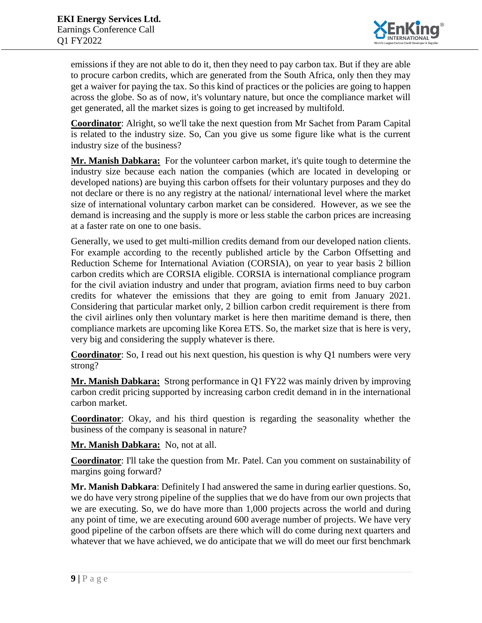

emissions if they are not able to do it, then they need to pay carbon tax. But if they are able to procure carbon credits, which are generated from the South Africa, only then they may get a waiver for paying the tax. So this kind of practices or the policies are going to happen across the globe. So as of now, it's voluntary nature, but once the compliance market will get generated, all the market sizes is going to get increased by multifold.

**Coordinator**: Alright, so we'll take the next question from Mr Sachet from Param Capital is related to the industry size. So, Can you give us some figure like what is the current industry size of the business?

**Mr. Manish Dabkara:** For the volunteer carbon market, it's quite tough to determine the industry size because each nation the companies (which are located in developing or developed nations) are buying this carbon offsets for their voluntary purposes and they do not declare or there is no any registry at the national/ international level where the market size of international voluntary carbon market can be considered. However, as we see the demand is increasing and the supply is more or less stable the carbon prices are increasing at a faster rate on one to one basis.

Generally, we used to get multi-million credits demand from our developed nation clients. For example according to the recently published article by the Carbon Offsetting and Reduction Scheme for International Aviation (CORSIA), on year to year basis 2 billion carbon credits which are CORSIA eligible. CORSIA is international compliance program for the civil aviation industry and under that program, aviation firms need to buy carbon credits for whatever the emissions that they are going to emit from January 2021. Considering that particular market only, 2 billion carbon credit requirement is there from the civil airlines only then voluntary market is here then maritime demand is there, then compliance markets are upcoming like Korea ETS. So, the market size that is here is very, very big and considering the supply whatever is there.

**Coordinator**: So, I read out his next question, his question is why Q1 numbers were very strong?

**Mr. Manish Dabkara:** Strong performance in Q1 FY22 was mainly driven by improving carbon credit pricing supported by increasing carbon credit demand in in the international carbon market.

**Coordinator**: Okay, and his third question is regarding the seasonality whether the business of the company is seasonal in nature?

**Mr. Manish Dabkara:** No, not at all.

**Coordinator**: I'll take the question from Mr. Patel. Can you comment on sustainability of margins going forward?

**Mr. Manish Dabkara**: Definitely I had answered the same in during earlier questions. So, we do have very strong pipeline of the supplies that we do have from our own projects that we are executing. So, we do have more than 1,000 projects across the world and during any point of time, we are executing around 600 average number of projects. We have very good pipeline of the carbon offsets are there which will do come during next quarters and whatever that we have achieved, we do anticipate that we will do meet our first benchmark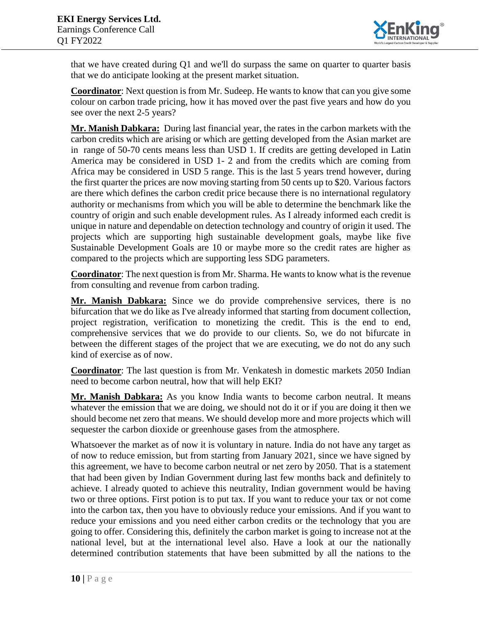

that we have created during Q1 and we'll do surpass the same on quarter to quarter basis that we do anticipate looking at the present market situation.

**Coordinator**: Next question is from Mr. Sudeep. He wants to know that can you give some colour on carbon trade pricing, how it has moved over the past five years and how do you see over the next 2-5 years?

**Mr. Manish Dabkara:** During last financial year, the rates in the carbon markets with the carbon credits which are arising or which are getting developed from the Asian market are in range of 50-70 cents means less than USD 1. If credits are getting developed in Latin America may be considered in USD 1- 2 and from the credits which are coming from Africa may be considered in USD 5 range. This is the last 5 years trend however, during the first quarter the prices are now moving starting from 50 cents up to \$20. Various factors are there which defines the carbon credit price because there is no international regulatory authority or mechanisms from which you will be able to determine the benchmark like the country of origin and such enable development rules. As I already informed each credit is unique in nature and dependable on detection technology and country of origin it used. The projects which are supporting high sustainable development goals, maybe like five Sustainable Development Goals are 10 or maybe more so the credit rates are higher as compared to the projects which are supporting less SDG parameters.

**Coordinator**: The next question is from Mr. Sharma. He wants to know what is the revenue from consulting and revenue from carbon trading.

**Mr. Manish Dabkara:** Since we do provide comprehensive services, there is no bifurcation that we do like as I've already informed that starting from document collection, project registration, verification to monetizing the credit. This is the end to end, comprehensive services that we do provide to our clients. So, we do not bifurcate in between the different stages of the project that we are executing, we do not do any such kind of exercise as of now.

**Coordinator**: The last question is from Mr. Venkatesh in domestic markets 2050 Indian need to become carbon neutral, how that will help EKI?

**Mr. Manish Dabkara:** As you know India wants to become carbon neutral. It means whatever the emission that we are doing, we should not do it or if you are doing it then we should become net zero that means. We should develop more and more projects which will sequester the carbon dioxide or greenhouse gases from the atmosphere.

Whatsoever the market as of now it is voluntary in nature. India do not have any target as of now to reduce emission, but from starting from January 2021, since we have signed by this agreement, we have to become carbon neutral or net zero by 2050. That is a statement that had been given by Indian Government during last few months back and definitely to achieve. I already quoted to achieve this neutrality, Indian government would be having two or three options. First potion is to put tax. If you want to reduce your tax or not come into the carbon tax, then you have to obviously reduce your emissions. And if you want to reduce your emissions and you need either carbon credits or the technology that you are going to offer. Considering this, definitely the carbon market is going to increase not at the national level, but at the international level also. Have a look at our the nationally determined contribution statements that have been submitted by all the nations to the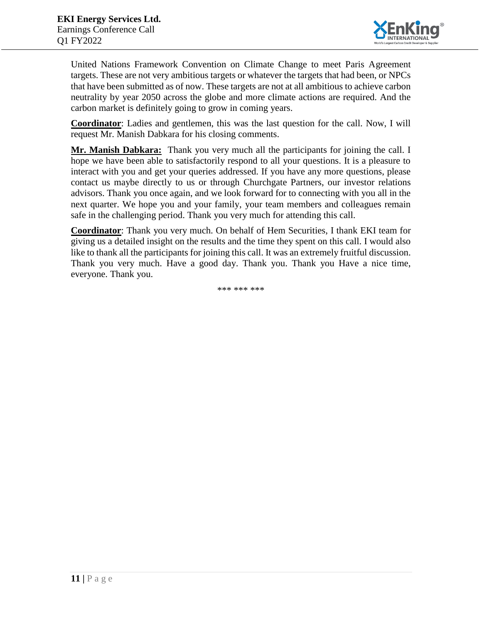

United Nations Framework Convention on Climate Change to meet Paris Agreement targets. These are not very ambitious targets or whatever the targets that had been, or NPCs that have been submitted as of now. These targets are not at all ambitious to achieve carbon neutrality by year 2050 across the globe and more climate actions are required. And the carbon market is definitely going to grow in coming years.

**Coordinator**: Ladies and gentlemen, this was the last question for the call. Now, I will request Mr. Manish Dabkara for his closing comments.

**Mr. Manish Dabkara:** Thank you very much all the participants for joining the call. I hope we have been able to satisfactorily respond to all your questions. It is a pleasure to interact with you and get your queries addressed. If you have any more questions, please contact us maybe directly to us or through Churchgate Partners, our investor relations advisors. Thank you once again, and we look forward for to connecting with you all in the next quarter. We hope you and your family, your team members and colleagues remain safe in the challenging period. Thank you very much for attending this call.

**Coordinator**: Thank you very much. On behalf of Hem Securities, I thank EKI team for giving us a detailed insight on the results and the time they spent on this call. I would also like to thank all the participants for joining this call. It was an extremely fruitful discussion. Thank you very much. Have a good day. Thank you. Thank you Have a nice time, everyone. Thank you.

\*\*\* \*\*\* \*\*\*